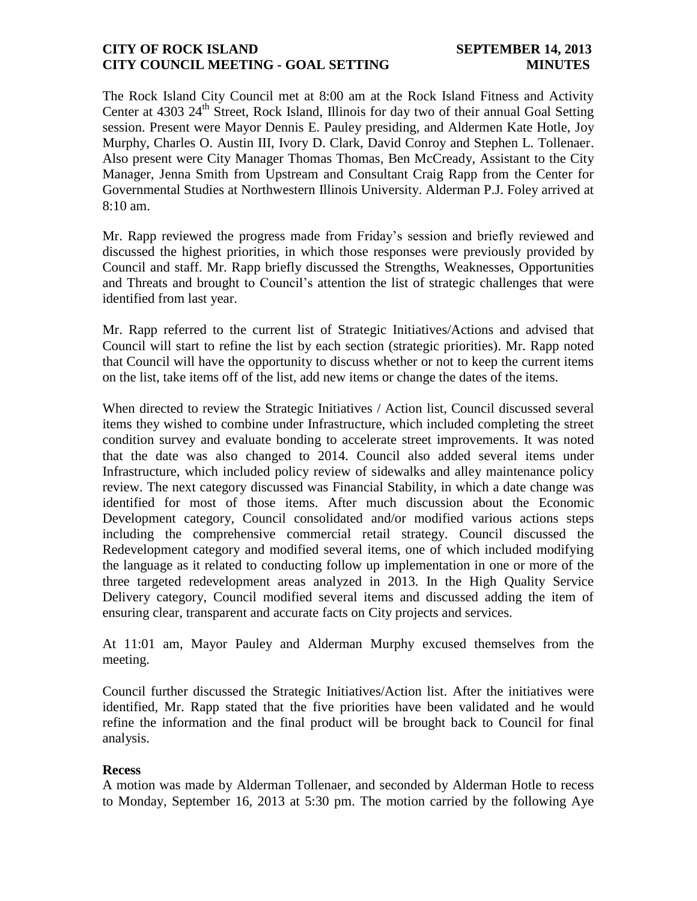## **CITY OF ROCK ISLAND SEPTEMBER 14, 2013 CITY COUNCIL MEETING - GOAL SETTING MINUTES**

The Rock Island City Council met at 8:00 am at the Rock Island Fitness and Activity Center at  $4303 \, 24$ <sup>th</sup> Street, Rock Island, Illinois for day two of their annual Goal Setting session. Present were Mayor Dennis E. Pauley presiding, and Aldermen Kate Hotle, Joy Murphy, Charles O. Austin III, Ivory D. Clark, David Conroy and Stephen L. Tollenaer. Also present were City Manager Thomas Thomas, Ben McCready, Assistant to the City Manager, Jenna Smith from Upstream and Consultant Craig Rapp from the Center for Governmental Studies at Northwestern Illinois University. Alderman P.J. Foley arrived at 8:10 am.

Mr. Rapp reviewed the progress made from Friday's session and briefly reviewed and discussed the highest priorities, in which those responses were previously provided by Council and staff. Mr. Rapp briefly discussed the Strengths, Weaknesses, Opportunities and Threats and brought to Council's attention the list of strategic challenges that were identified from last year.

Mr. Rapp referred to the current list of Strategic Initiatives/Actions and advised that Council will start to refine the list by each section (strategic priorities). Mr. Rapp noted that Council will have the opportunity to discuss whether or not to keep the current items on the list, take items off of the list, add new items or change the dates of the items.

When directed to review the Strategic Initiatives / Action list, Council discussed several items they wished to combine under Infrastructure, which included completing the street condition survey and evaluate bonding to accelerate street improvements. It was noted that the date was also changed to 2014. Council also added several items under Infrastructure, which included policy review of sidewalks and alley maintenance policy review. The next category discussed was Financial Stability, in which a date change was identified for most of those items. After much discussion about the Economic Development category, Council consolidated and/or modified various actions steps including the comprehensive commercial retail strategy. Council discussed the Redevelopment category and modified several items, one of which included modifying the language as it related to conducting follow up implementation in one or more of the three targeted redevelopment areas analyzed in 2013. In the High Quality Service Delivery category, Council modified several items and discussed adding the item of ensuring clear, transparent and accurate facts on City projects and services.

At 11:01 am, Mayor Pauley and Alderman Murphy excused themselves from the meeting.

Council further discussed the Strategic Initiatives/Action list. After the initiatives were identified, Mr. Rapp stated that the five priorities have been validated and he would refine the information and the final product will be brought back to Council for final analysis.

## **Recess**

A motion was made by Alderman Tollenaer, and seconded by Alderman Hotle to recess to Monday, September 16, 2013 at 5:30 pm. The motion carried by the following Aye